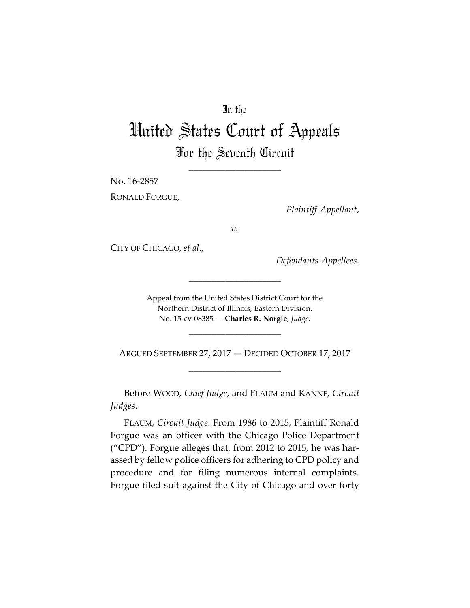# In the

# United States Court of Appeals For the Seventh Circuit

\_\_\_\_\_\_\_\_\_\_\_\_\_\_\_\_\_\_\_\_

No. 16-2857

RONALD FORGUE,

*Plaintiff-Appellant*,

*v.*

CITY OF CHICAGO, *et al*.,

*Defendants-Appellees*.

Appeal from the United States District Court for the Northern District of Illinois, Eastern Division. No. 15-cv-08385 — **Charles R. Norgle**, *Judge*.

\_\_\_\_\_\_\_\_\_\_\_\_\_\_\_\_\_\_\_\_

ARGUED SEPTEMBER 27, 2017 — DECIDED OCTOBER 17, 2017 \_\_\_\_\_\_\_\_\_\_\_\_\_\_\_\_\_\_\_\_

\_\_\_\_\_\_\_\_\_\_\_\_\_\_\_\_\_\_\_\_

Before WOOD, *Chief Judge*, and FLAUM and KANNE, *Circuit Judges*.

FLAUM, *Circuit Judge*. From 1986 to 2015, Plaintiff Ronald Forgue was an officer with the Chicago Police Department ("CPD"). Forgue alleges that, from 2012 to 2015, he was harassed by fellow police officers for adhering to CPD policy and procedure and for filing numerous internal complaints. Forgue filed suit against the City of Chicago and over forty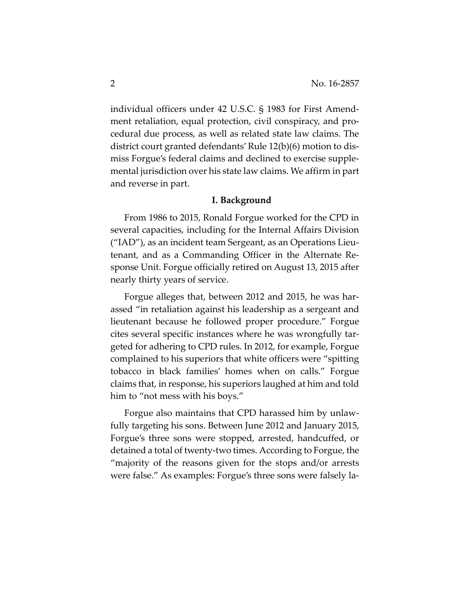individual officers under 42 U.S.C. § 1983 for First Amendment retaliation, equal protection, civil conspiracy, and procedural due process, as well as related state law claims. The district court granted defendants' Rule 12(b)(6) motion to dismiss Forgue's federal claims and declined to exercise supplemental jurisdiction over his state law claims. We affirm in part and reverse in part.

#### **I. Background**

From 1986 to 2015, Ronald Forgue worked for the CPD in several capacities, including for the Internal Affairs Division ("IAD"), as an incident team Sergeant, as an Operations Lieutenant, and as a Commanding Officer in the Alternate Response Unit. Forgue officially retired on August 13, 2015 after nearly thirty years of service.

Forgue alleges that, between 2012 and 2015, he was harassed "in retaliation against his leadership as a sergeant and lieutenant because he followed proper procedure." Forgue cites several specific instances where he was wrongfully targeted for adhering to CPD rules. In 2012, for example, Forgue complained to his superiors that white officers were "spitting tobacco in black families' homes when on calls." Forgue claims that, in response, his superiors laughed at him and told him to "not mess with his boys."

Forgue also maintains that CPD harassed him by unlawfully targeting his sons. Between June 2012 and January 2015, Forgue's three sons were stopped, arrested, handcuffed, or detained a total of twenty-two times. According to Forgue, the "majority of the reasons given for the stops and/or arrests were false." As examples: Forgue's three sons were falsely la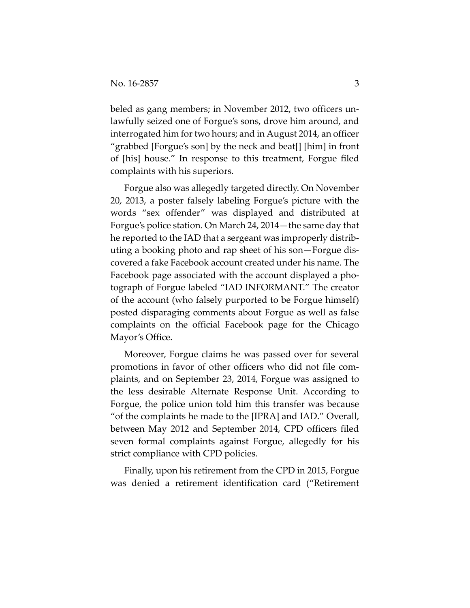beled as gang members; in November 2012, two officers unlawfully seized one of Forgue's sons, drove him around, and interrogated him for two hours; and in August 2014, an officer "grabbed [Forgue's son] by the neck and beat[] [him] in front of [his] house." In response to this treatment, Forgue filed complaints with his superiors.

Forgue also was allegedly targeted directly. On November 20, 2013, a poster falsely labeling Forgue's picture with the words "sex offender" was displayed and distributed at Forgue's police station. On March 24, 2014—the same day that he reported to the IAD that a sergeant was improperly distributing a booking photo and rap sheet of his son—Forgue discovered a fake Facebook account created under his name. The Facebook page associated with the account displayed a photograph of Forgue labeled "IAD INFORMANT." The creator of the account (who falsely purported to be Forgue himself) posted disparaging comments about Forgue as well as false complaints on the official Facebook page for the Chicago Mayor's Office.

Moreover, Forgue claims he was passed over for several promotions in favor of other officers who did not file complaints, and on September 23, 2014, Forgue was assigned to the less desirable Alternate Response Unit. According to Forgue, the police union told him this transfer was because "of the complaints he made to the [IPRA] and IAD." Overall, between May 2012 and September 2014, CPD officers filed seven formal complaints against Forgue, allegedly for his strict compliance with CPD policies.

Finally, upon his retirement from the CPD in 2015, Forgue was denied a retirement identification card ("Retirement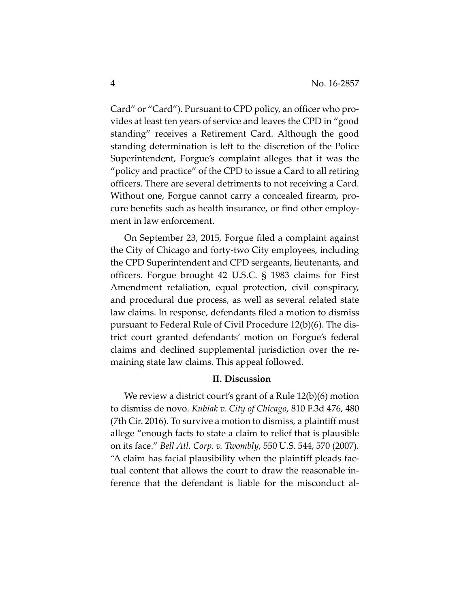Card" or "Card"). Pursuant to CPD policy, an officer who provides at least ten years of service and leaves the CPD in "good standing" receives a Retirement Card. Although the good standing determination is left to the discretion of the Police Superintendent, Forgue's complaint alleges that it was the "policy and practice" of the CPD to issue a Card to all retiring officers. There are several detriments to not receiving a Card. Without one, Forgue cannot carry a concealed firearm, procure benefits such as health insurance, or find other employment in law enforcement.

On September 23, 2015, Forgue filed a complaint against the City of Chicago and forty-two City employees, including the CPD Superintendent and CPD sergeants, lieutenants, and officers. Forgue brought 42 U.S.C. § 1983 claims for First Amendment retaliation, equal protection, civil conspiracy, and procedural due process, as well as several related state law claims. In response, defendants filed a motion to dismiss pursuant to Federal Rule of Civil Procedure 12(b)(6). The district court granted defendants' motion on Forgue's federal claims and declined supplemental jurisdiction over the remaining state law claims. This appeal followed.

## **II. Discussion**

We review a district court's grant of a Rule 12(b)(6) motion to dismiss de novo. *Kubiak v. City of Chicago*, 810 F.3d 476, 480 (7th Cir. 2016). To survive a motion to dismiss, a plaintiff must allege "enough facts to state a claim to relief that is plausible on its face." *Bell Atl. Corp. v. Twombly*, 550 U.S. 544, 570 (2007). "A claim has facial plausibility when the plaintiff pleads factual content that allows the court to draw the reasonable inference that the defendant is liable for the misconduct al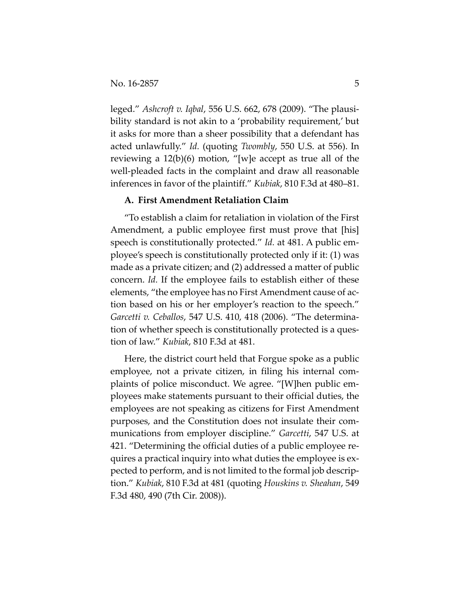leged." *Ashcroft v. Iqbal*, 556 U.S. 662, 678 (2009). "The plausibility standard is not akin to a 'probability requirement,' but it asks for more than a sheer possibility that a defendant has acted unlawfully." *Id.* (quoting *Twombly*, 550 U.S. at 556). In reviewing a 12(b)(6) motion, "[w]e accept as true all of the well-pleaded facts in the complaint and draw all reasonable inferences in favor of the plaintiff." *Kubiak*, 810 F.3d at 480–81.

## **A. First Amendment Retaliation Claim**

"To establish a claim for retaliation in violation of the First Amendment, a public employee first must prove that [his] speech is constitutionally protected." *Id.* at 481. A public employee's speech is constitutionally protected only if it: (1) was made as a private citizen; and (2) addressed a matter of public concern. *Id.* If the employee fails to establish either of these elements, "the employee has no First Amendment cause of action based on his or her employer's reaction to the speech." *Garcetti v. Ceballos*, 547 U.S. 410, 418 (2006). "The determination of whether speech is constitutionally protected is a question of law." *Kubiak*, 810 F.3d at 481.

Here, the district court held that Forgue spoke as a public employee, not a private citizen, in filing his internal complaints of police misconduct. We agree. "[W]hen public employees make statements pursuant to their official duties, the employees are not speaking as citizens for First Amendment purposes, and the Constitution does not insulate their communications from employer discipline." *Garcetti*, 547 U.S. at 421. "Determining the official duties of a public employee requires a practical inquiry into what duties the employee is expected to perform, and is not limited to the formal job description." *Kubiak*, 810 F.3d at 481 (quoting *Houskins v. Sheahan*, 549 F.3d 480, 490 (7th Cir. 2008)).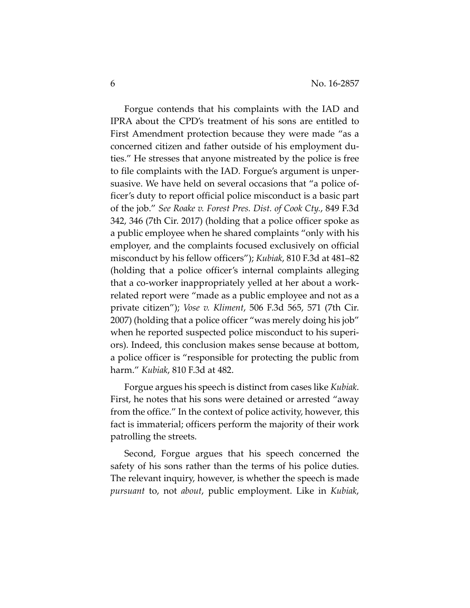Forgue contends that his complaints with the IAD and IPRA about the CPD's treatment of his sons are entitled to First Amendment protection because they were made "as a concerned citizen and father outside of his employment duties." He stresses that anyone mistreated by the police is free to file complaints with the IAD. Forgue's argument is unpersuasive. We have held on several occasions that "a police officer's duty to report official police misconduct is a basic part of the job." *See Roake v. Forest Pres. Dist. of Cook Cty.*, 849 F.3d 342, 346 (7th Cir. 2017) (holding that a police officer spoke as a public employee when he shared complaints "only with his employer, and the complaints focused exclusively on official misconduct by his fellow officers"); *Kubiak*, 810 F.3d at 481–82 (holding that a police officer's internal complaints alleging that a co-worker inappropriately yelled at her about a workrelated report were "made as a public employee and not as a private citizen"); *Vose v. Kliment*, 506 F.3d 565, 571 (7th Cir. 2007) (holding that a police officer "was merely doing his job" when he reported suspected police misconduct to his superiors). Indeed, this conclusion makes sense because at bottom, a police officer is "responsible for protecting the public from harm." *Kubiak*, 810 F.3d at 482.

Forgue argues his speech is distinct from cases like *Kubiak*. First, he notes that his sons were detained or arrested "away from the office." In the context of police activity, however, this fact is immaterial; officers perform the majority of their work patrolling the streets.

Second, Forgue argues that his speech concerned the safety of his sons rather than the terms of his police duties. The relevant inquiry, however, is whether the speech is made *pursuant* to, not *about*, public employment. Like in *Kubiak*,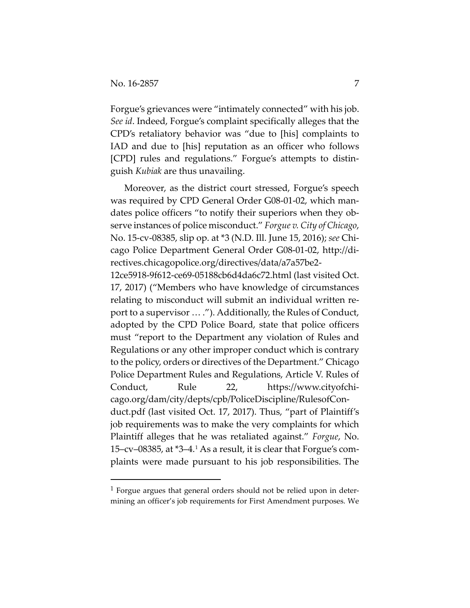Forgue's grievances were "intimately connected" with his job. *See id*. Indeed, Forgue's complaint specifically alleges that the CPD's retaliatory behavior was "due to [his] complaints to IAD and due to [his] reputation as an officer who follows [CPD] rules and regulations." Forgue's attempts to distinguish *Kubiak* are thus unavailing.

Moreover, as the district court stressed, Forgue's speech was required by CPD General Order G08-01-02, which mandates police officers "to notify their superiors when they observe instances of police misconduct." *Forgue v. City of Chicago*, No. 15-cv-08385, slip op. at \*3 (N.D. Ill. June 15, 2016); *see* Chicago Police Department General Order G08-01-02, http://directives.chicagopolice.org/directives/data/a7a57be2-

12ce5918-9f612-ce69-05188cb6d4da6c72.html (last visited Oct. 17, 2017) ("Members who have knowledge of circumstances relating to misconduct will submit an individual written report to a supervisor … ."). Additionally, the Rules of Conduct, adopted by the CPD Police Board, state that police officers must "report to the Department any violation of Rules and Regulations or any other improper conduct which is contrary to the policy, orders or directives of the Department." Chicago Police Department Rules and Regulations, Article V. Rules of Conduct, Rule 22, https://www.cityofchicago.org/dam/city/depts/cpb/PoliceDiscipline/RulesofConduct.pdf (last visited Oct. 17, 2017). Thus, "part of Plaintiff's job requirements was to make the very complaints for which Plaintiff alleges that he was retaliated against." *Forgue*, No. 15–cv–08385, at \*3–4[.1](#page-6-0) As a result, it is clear that Forgue's complaints were made pursuant to his job responsibilities. The

<span id="page-6-0"></span> <sup>1</sup> Forgue argues that general orders should not be relied upon in determining an officer's job requirements for First Amendment purposes. We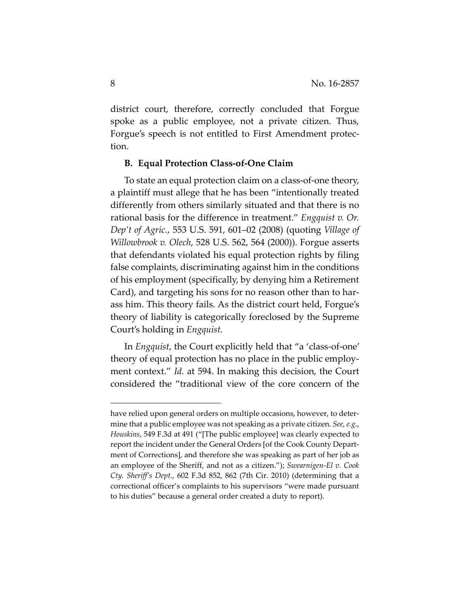district court, therefore, correctly concluded that Forgue spoke as a public employee, not a private citizen. Thus, Forgue's speech is not entitled to First Amendment protection.

#### **B. Equal Protection Class-of-One Claim**

To state an equal protection claim on a class-of-one theory, a plaintiff must allege that he has been "intentionally treated differently from others similarly situated and that there is no rational basis for the difference in treatment." *Engquist v. Or. Dep't of Agric.*, 553 U.S. 591, 601–02 (2008) (quoting *Village of Willowbrook v. Olech*, 528 U.S. 562, 564 (2000)). Forgue asserts that defendants violated his equal protection rights by filing false complaints, discriminating against him in the conditions of his employment (specifically, by denying him a Retirement Card), and targeting his sons for no reason other than to harass him. This theory fails. As the district court held, Forgue's theory of liability is categorically foreclosed by the Supreme Court's holding in *Engquist.*

In *Engquist*, the Court explicitly held that "a 'class-of-one' theory of equal protection has no place in the public employment context." *Id.* at 594. In making this decision, the Court considered the "traditional view of the core concern of the

 $\overline{a}$ 

have relied upon general orders on multiple occasions, however, to determine that a public employee was not speaking as a private citizen. *See, e.g.*, *Houskins*, 549 F.3d at 491 ("[The public employee] was clearly expected to report the incident under the General Orders [of the Cook County Department of Corrections], and therefore she was speaking as part of her job as an employee of the Sheriff, and not as a citizen."); *Swearnigen-El v. Cook Cty. Sheriff's Dept.*, 602 F.3d 852, 862 (7th Cir. 2010) (determining that a correctional officer's complaints to his supervisors "were made pursuant to his duties" because a general order created a duty to report).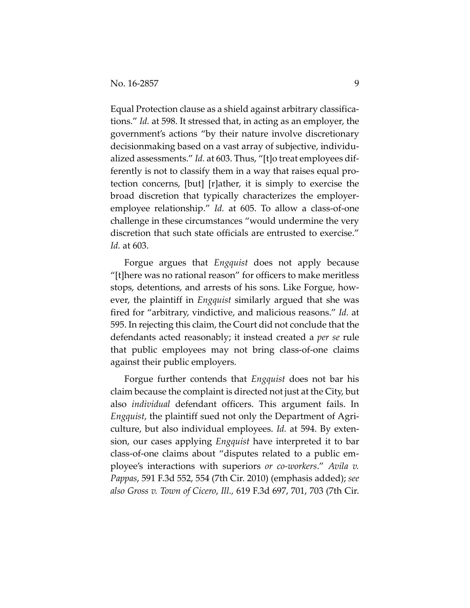Equal Protection clause as a shield against arbitrary classifications." *Id.* at 598. It stressed that, in acting as an employer, the government's actions "by their nature involve discretionary decisionmaking based on a vast array of subjective, individualized assessments." *Id.* at 603. Thus, "[t]o treat employees differently is not to classify them in a way that raises equal protection concerns, [but] [r]ather, it is simply to exercise the broad discretion that typically characterizes the employeremployee relationship." *Id.* at 605. To allow a class-of-one challenge in these circumstances "would undermine the very discretion that such state officials are entrusted to exercise." *Id.* at 603.

Forgue argues that *Engquist* does not apply because "[t]here was no rational reason" for officers to make meritless stops, detentions, and arrests of his sons. Like Forgue, however, the plaintiff in *Engquist* similarly argued that she was fired for "arbitrary, vindictive, and malicious reasons." *Id.* at 595. In rejecting this claim, the Court did not conclude that the defendants acted reasonably; it instead created a *per se* rule that public employees may not bring class-of-one claims against their public employers.

Forgue further contends that *Engquist* does not bar his claim because the complaint is directed not just at the City, but also *individual* defendant officers. This argument fails. In *Engquist*, the plaintiff sued not only the Department of Agriculture, but also individual employees. *Id.* at 594. By extension, our cases applying *Engquist* have interpreted it to bar class-of-one claims about "disputes related to a public employee's interactions with superiors *or co-workers*." *Avila v. Pappas*, 591 F.3d 552, 554 (7th Cir. 2010) (emphasis added); *see also Gross v. Town of Cicero*, *Ill.,* 619 F.3d 697, 701, 703 (7th Cir.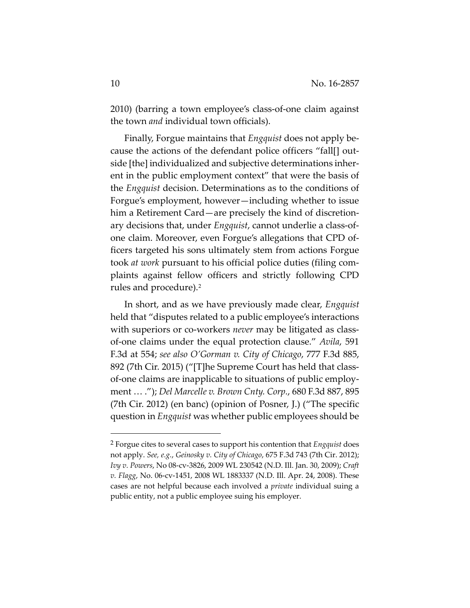2010) (barring a town employee's class-of-one claim against the town *and* individual town officials).

Finally, Forgue maintains that *Engquist* does not apply because the actions of the defendant police officers "fall[] outside [the] individualized and subjective determinations inherent in the public employment context" that were the basis of the *Engquist* decision. Determinations as to the conditions of Forgue's employment, however—including whether to issue him a Retirement Card—are precisely the kind of discretionary decisions that, under *Engquist*, cannot underlie a class-ofone claim. Moreover, even Forgue's allegations that CPD officers targeted his sons ultimately stem from actions Forgue took *at work* pursuant to his official police duties (filing complaints against fellow officers and strictly following CPD rules and procedure).[2](#page-9-0)

In short, and as we have previously made clear, *Engquist*  held that "disputes related to a public employee's interactions with superiors or co-workers *never* may be litigated as classof-one claims under the equal protection clause." *Avila*, 591 F.3d at 554; *see also O'Gorman v. City of Chicago*, 777 F.3d 885, 892 (7th Cir. 2015) ("[T]he Supreme Court has held that classof-one claims are inapplicable to situations of public employment … ."); *Del Marcelle v. Brown Cnty. Corp.*, 680 F.3d 887, 895 (7th Cir. 2012) (en banc) (opinion of Posner, J.) ("The specific question in *Engquist* was whether public employees should be

<span id="page-9-0"></span> <sup>2</sup> Forgue cites to several cases to support his contention that *Engquist* does not apply. *See, e.g.*, *Geinosky v. City of Chicago*, 675 F.3d 743 (7th Cir. 2012); *Ivy v. Powers*, No 08-cv-3826, 2009 WL 230542 (N.D. Ill. Jan. 30, 2009); *Craft v. Flagg*, No. 06-cv-1451, 2008 WL 1883337 (N.D. Ill. Apr. 24, 2008). These cases are not helpful because each involved a *private* individual suing a public entity, not a public employee suing his employer.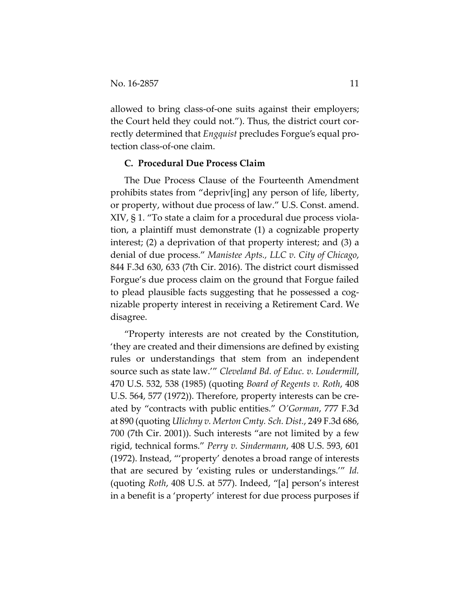allowed to bring class-of-one suits against their employers; the Court held they could not."). Thus, the district court correctly determined that *Engquist* precludes Forgue's equal protection class-of-one claim.

## **C. Procedural Due Process Claim**

The Due Process Clause of the Fourteenth Amendment prohibits states from "depriv[ing] any person of life, liberty, or property, without due process of law." U.S. Const. amend. XIV, § 1. "To state a claim for a procedural due process violation, a plaintiff must demonstrate (1) a cognizable property interest; (2) a deprivation of that property interest; and (3) a denial of due process." *Manistee Apts., LLC v. City of Chicago*, 844 F.3d 630, 633 (7th Cir. 2016). The district court dismissed Forgue's due process claim on the ground that Forgue failed to plead plausible facts suggesting that he possessed a cognizable property interest in receiving a Retirement Card. We disagree.

"Property interests are not created by the Constitution, 'they are created and their dimensions are defined by existing rules or understandings that stem from an independent source such as state law.'" *Cleveland Bd. of Educ. v. Loudermill*, 470 U.S. 532, 538 (1985) (quoting *Board of Regents v. Roth*, 408 U.S. 564, 577 (1972)). Therefore, property interests can be created by "contracts with public entities." *O'Gorman*, 777 F.3d at 890 (quoting *Ulichny v. Merton Cmty. Sch. Dist.*, 249 F.3d 686, 700 (7th Cir. 2001)). Such interests "are not limited by a few rigid, technical forms." *Perry v. Sindermann*, 408 U.S. 593, 601 (1972). Instead, "'property' denotes a broad range of interests that are secured by 'existing rules or understandings.'" *Id.*  (quoting *Roth*, 408 U.S. at 577). Indeed, "[a] person's interest in a benefit is a 'property' interest for due process purposes if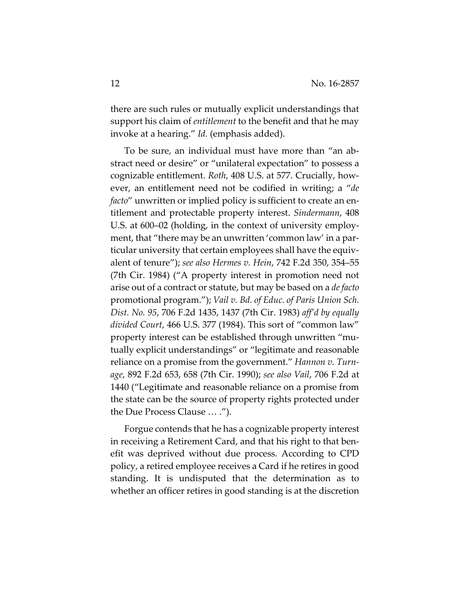there are such rules or mutually explicit understandings that support his claim of *entitlement* to the benefit and that he may invoke at a hearing." *Id.* (emphasis added).

To be sure, an individual must have more than "an abstract need or desire" or "unilateral expectation" to possess a cognizable entitlement. *Roth*, 408 U.S. at 577. Crucially, however, an entitlement need not be codified in writing; a "*de facto*" unwritten or implied policy is sufficient to create an entitlement and protectable property interest. *Sindermann*, 408 U.S. at 600–02 (holding, in the context of university employment, that "there may be an unwritten 'common law' in a particular university that certain employees shall have the equivalent of tenure"); *see also Hermes v. Hein*, 742 F.2d 350, 354–55 (7th Cir. 1984) ("A property interest in promotion need not arise out of a contract or statute, but may be based on a *de facto*  promotional program."); *Vail v. Bd. of Educ. of Paris Union Sch. Dist. No. 95*, 706 F.2d 1435, 1437 (7th Cir. 1983) *aff'd by equally divided Court*, 466 U.S. 377 (1984). This sort of "common law" property interest can be established through unwritten "mutually explicit understandings" or "legitimate and reasonable reliance on a promise from the government." *Hannon v. Turnage*, 892 F.2d 653, 658 (7th Cir. 1990); *see also Vail*, 706 F.2d at 1440 ("Legitimate and reasonable reliance on a promise from the state can be the source of property rights protected under the Due Process Clause … .").

Forgue contends that he has a cognizable property interest in receiving a Retirement Card, and that his right to that benefit was deprived without due process. According to CPD policy, a retired employee receives a Card if he retires in good standing. It is undisputed that the determination as to whether an officer retires in good standing is at the discretion